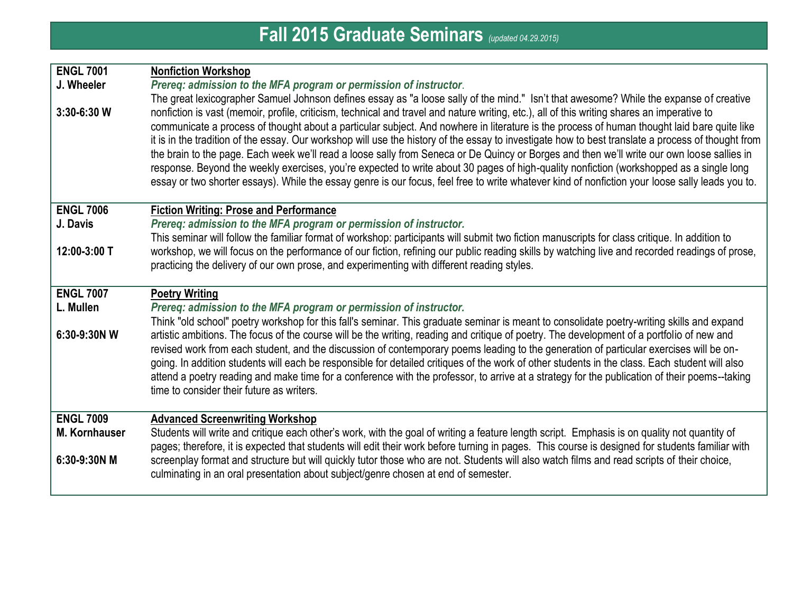## **Fall 2015 Graduate Seminars** *(updated 04.29.2015)*

| <b>ENGL 7001</b><br>J. Wheeler<br>$3:30-6:30$ W | <b>Nonfiction Workshop</b><br>Prereq: admission to the MFA program or permission of instructor.<br>The great lexicographer Samuel Johnson defines essay as "a loose sally of the mind." Isn't that awesome? While the expanse of creative<br>nonfiction is vast (memoir, profile, criticism, technical and travel and nature writing, etc.), all of this writing shares an imperative to<br>communicate a process of thought about a particular subject. And nowhere in literature is the process of human thought laid bare quite like<br>it is in the tradition of the essay. Our workshop will use the history of the essay to investigate how to best translate a process of thought from<br>the brain to the page. Each week we'll read a loose sally from Seneca or De Quincy or Borges and then we'll write our own loose sallies in<br>response. Beyond the weekly exercises, you're expected to write about 30 pages of high-quality nonfiction (workshopped as a single long<br>essay or two shorter essays). While the essay genre is our focus, feel free to write whatever kind of nonfiction your loose sally leads you to. |
|-------------------------------------------------|-------------------------------------------------------------------------------------------------------------------------------------------------------------------------------------------------------------------------------------------------------------------------------------------------------------------------------------------------------------------------------------------------------------------------------------------------------------------------------------------------------------------------------------------------------------------------------------------------------------------------------------------------------------------------------------------------------------------------------------------------------------------------------------------------------------------------------------------------------------------------------------------------------------------------------------------------------------------------------------------------------------------------------------------------------------------------------------------------------------------------------------------|
|                                                 |                                                                                                                                                                                                                                                                                                                                                                                                                                                                                                                                                                                                                                                                                                                                                                                                                                                                                                                                                                                                                                                                                                                                           |
| <b>ENGL 7006</b><br>J. Davis                    | <b>Fiction Writing: Prose and Performance</b><br>Prereq: admission to the MFA program or permission of instructor.                                                                                                                                                                                                                                                                                                                                                                                                                                                                                                                                                                                                                                                                                                                                                                                                                                                                                                                                                                                                                        |
|                                                 | This seminar will follow the familiar format of workshop: participants will submit two fiction manuscripts for class critique. In addition to                                                                                                                                                                                                                                                                                                                                                                                                                                                                                                                                                                                                                                                                                                                                                                                                                                                                                                                                                                                             |
| 12:00-3:00 T                                    | workshop, we will focus on the performance of our fiction, refining our public reading skills by watching live and recorded readings of prose,<br>practicing the delivery of our own prose, and experimenting with different reading styles.                                                                                                                                                                                                                                                                                                                                                                                                                                                                                                                                                                                                                                                                                                                                                                                                                                                                                              |
| <b>ENGL 7007</b>                                | <b>Poetry Writing</b>                                                                                                                                                                                                                                                                                                                                                                                                                                                                                                                                                                                                                                                                                                                                                                                                                                                                                                                                                                                                                                                                                                                     |
| L. Mullen                                       | Prereq: admission to the MFA program or permission of instructor.                                                                                                                                                                                                                                                                                                                                                                                                                                                                                                                                                                                                                                                                                                                                                                                                                                                                                                                                                                                                                                                                         |
| 6:30-9:30N W                                    | Think "old school" poetry workshop for this fall's seminar. This graduate seminar is meant to consolidate poetry-writing skills and expand<br>artistic ambitions. The focus of the course will be the writing, reading and critique of poetry. The development of a portfolio of new and                                                                                                                                                                                                                                                                                                                                                                                                                                                                                                                                                                                                                                                                                                                                                                                                                                                  |
|                                                 | revised work from each student, and the discussion of contemporary poems leading to the generation of particular exercises will be on-<br>going. In addition students will each be responsible for detailed critiques of the work of other students in the class. Each student will also<br>attend a poetry reading and make time for a conference with the professor, to arrive at a strategy for the publication of their poems--taking<br>time to consider their future as writers.                                                                                                                                                                                                                                                                                                                                                                                                                                                                                                                                                                                                                                                    |
| <b>ENGL 7009</b>                                | <b>Advanced Screenwriting Workshop</b>                                                                                                                                                                                                                                                                                                                                                                                                                                                                                                                                                                                                                                                                                                                                                                                                                                                                                                                                                                                                                                                                                                    |
| <b>M. Kornhauser</b>                            | Students will write and critique each other's work, with the goal of writing a feature length script. Emphasis is on quality not quantity of<br>pages; therefore, it is expected that students will edit their work before turning in pages. This course is designed for students familiar with                                                                                                                                                                                                                                                                                                                                                                                                                                                                                                                                                                                                                                                                                                                                                                                                                                           |
| 6:30-9:30N M                                    | screenplay format and structure but will quickly tutor those who are not. Students will also watch films and read scripts of their choice,<br>culminating in an oral presentation about subject/genre chosen at end of semester.                                                                                                                                                                                                                                                                                                                                                                                                                                                                                                                                                                                                                                                                                                                                                                                                                                                                                                          |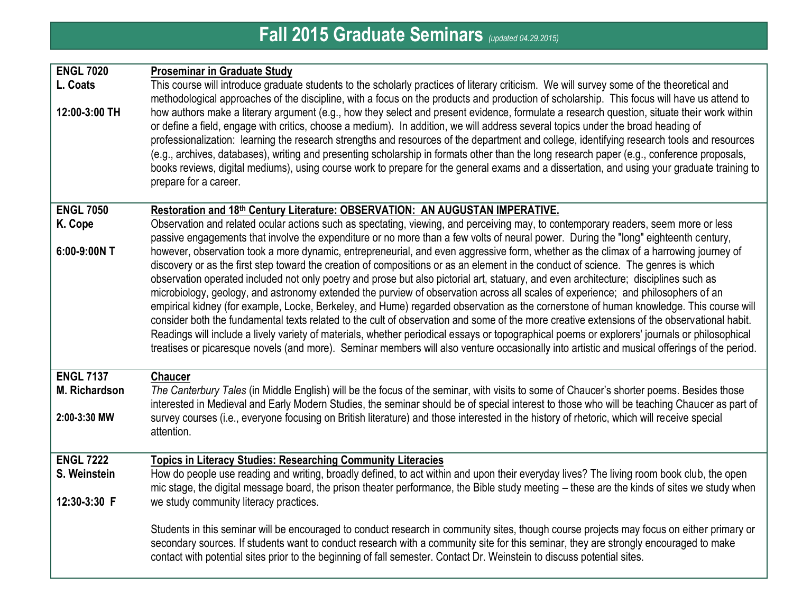## **Fall 2015 Graduate Seminars** *(updated 04.29.2015)*

| <b>ENGL 7020</b><br>L. Coats<br>12:00-3:00 TH            | <b>Proseminar in Graduate Study</b><br>This course will introduce graduate students to the scholarly practices of literary criticism. We will survey some of the theoretical and<br>methodological approaches of the discipline, with a focus on the products and production of scholarship. This focus will have us attend to<br>how authors make a literary argument (e.g., how they select and present evidence, formulate a research question, situate their work within<br>or define a field, engage with critics, choose a medium). In addition, we will address several topics under the broad heading of<br>professionalization: learning the research strengths and resources of the department and college, identifying research tools and resources<br>(e.g., archives, databases), writing and presenting scholarship in formats other than the long research paper (e.g., conference proposals,<br>books reviews, digital mediums), using course work to prepare for the general exams and a dissertation, and using your graduate training to<br>prepare for a career.                                                                                                                                                                                                                                                                                                                                                                                                                           |
|----------------------------------------------------------|----------------------------------------------------------------------------------------------------------------------------------------------------------------------------------------------------------------------------------------------------------------------------------------------------------------------------------------------------------------------------------------------------------------------------------------------------------------------------------------------------------------------------------------------------------------------------------------------------------------------------------------------------------------------------------------------------------------------------------------------------------------------------------------------------------------------------------------------------------------------------------------------------------------------------------------------------------------------------------------------------------------------------------------------------------------------------------------------------------------------------------------------------------------------------------------------------------------------------------------------------------------------------------------------------------------------------------------------------------------------------------------------------------------------------------------------------------------------------------------------------------------|
| <b>ENGL 7050</b><br>K. Cope<br>6:00-9:00N T              | Restoration and 18th Century Literature: OBSERVATION: AN AUGUSTAN IMPERATIVE.<br>Observation and related ocular actions such as spectating, viewing, and perceiving may, to contemporary readers, seem more or less<br>passive engagements that involve the expenditure or no more than a few volts of neural power. During the "long" eighteenth century,<br>however, observation took a more dynamic, entrepreneurial, and even aggressive form, whether as the climax of a harrowing journey of<br>discovery or as the first step toward the creation of compositions or as an element in the conduct of science. The genres is which<br>observation operated included not only poetry and prose but also pictorial art, statuary, and even architecture; disciplines such as<br>microbiology, geology, and astronomy extended the purview of observation across all scales of experience; and philosophers of an<br>empirical kidney (for example, Locke, Berkeley, and Hume) regarded observation as the cornerstone of human knowledge. This course will<br>consider both the fundamental texts related to the cult of observation and some of the more creative extensions of the observational habit.<br>Readings will include a lively variety of materials, whether periodical essays or topographical poems or explorers' journals or philosophical<br>treatises or picaresque novels (and more). Seminar members will also venture occasionally into artistic and musical offerings of the period. |
| <b>ENGL 7137</b><br><b>M. Richardson</b><br>2:00-3:30 MW | <b>Chaucer</b><br>The Canterbury Tales (in Middle English) will be the focus of the seminar, with visits to some of Chaucer's shorter poems. Besides those<br>interested in Medieval and Early Modern Studies, the seminar should be of special interest to those who will be teaching Chaucer as part of<br>survey courses (i.e., everyone focusing on British literature) and those interested in the history of rhetoric, which will receive special<br>attention.                                                                                                                                                                                                                                                                                                                                                                                                                                                                                                                                                                                                                                                                                                                                                                                                                                                                                                                                                                                                                                          |
| <b>ENGL 7222</b><br>S. Weinstein<br>12:30-3:30 F         | <b>Topics in Literacy Studies: Researching Community Literacies</b><br>How do people use reading and writing, broadly defined, to act within and upon their everyday lives? The living room book club, the open<br>mic stage, the digital message board, the prison theater performance, the Bible study meeting – these are the kinds of sites we study when<br>we study community literacy practices.                                                                                                                                                                                                                                                                                                                                                                                                                                                                                                                                                                                                                                                                                                                                                                                                                                                                                                                                                                                                                                                                                                        |
|                                                          | Students in this seminar will be encouraged to conduct research in community sites, though course projects may focus on either primary or<br>secondary sources. If students want to conduct research with a community site for this seminar, they are strongly encouraged to make<br>contact with potential sites prior to the beginning of fall semester. Contact Dr. Weinstein to discuss potential sites.                                                                                                                                                                                                                                                                                                                                                                                                                                                                                                                                                                                                                                                                                                                                                                                                                                                                                                                                                                                                                                                                                                   |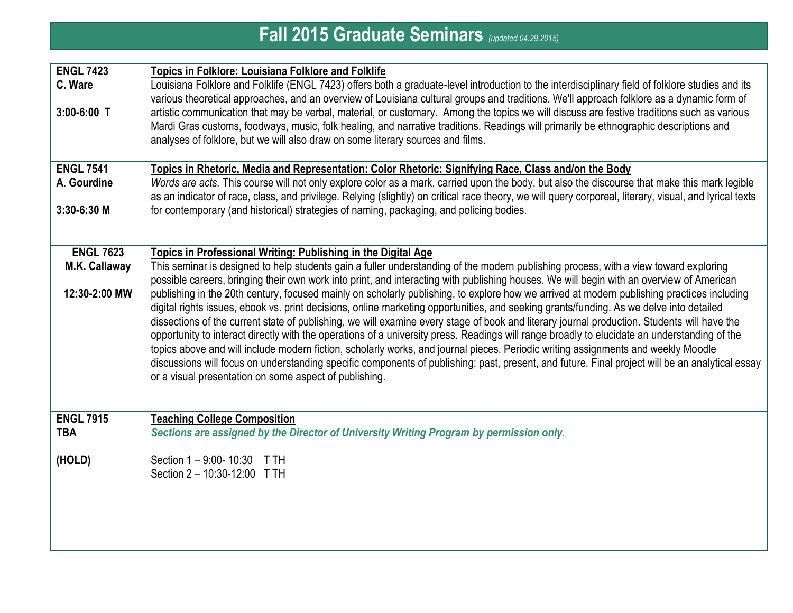| <b>Fall 2015 Graduate Seminars</b> (updated 04.29.2015) |                                                                                                                                                                                                                                                                                                                                                                                                                                                                                                                                                                                                                                                                                                                                                                                                                                                                                                                                        |  |
|---------------------------------------------------------|----------------------------------------------------------------------------------------------------------------------------------------------------------------------------------------------------------------------------------------------------------------------------------------------------------------------------------------------------------------------------------------------------------------------------------------------------------------------------------------------------------------------------------------------------------------------------------------------------------------------------------------------------------------------------------------------------------------------------------------------------------------------------------------------------------------------------------------------------------------------------------------------------------------------------------------|--|
| <b>ENGL 7423</b><br>C. Ware                             | <b>Topics in Folklore: Louisiana Folklore and Folklife</b><br>Louisiana Folklore and Folklife (ENGL 7423) offers both a graduate-level introduction to the interdisciplinary field of folklore studies and its                                                                                                                                                                                                                                                                                                                                                                                                                                                                                                                                                                                                                                                                                                                         |  |
| $3:00-6:00$ T                                           | various theoretical approaches, and an overview of Louisiana cultural groups and traditions. We'll approach folklore as a dynamic form of<br>artistic communication that may be verbal, material, or customary. Among the topics we will discuss are festive traditions such as various<br>Mardi Gras customs, foodways, music, folk healing, and narrative traditions. Readings will primarily be ethnographic descriptions and<br>analyses of folklore, but we will also draw on some literary sources and films.                                                                                                                                                                                                                                                                                                                                                                                                                    |  |
| <b>ENGL 7541</b><br>A. Gourdine                         | Topics in Rhetoric, Media and Representation: Color Rhetoric: Signifying Race, Class and/on the Body<br>Words are acts. This course will not only explore color as a mark, carried upon the body, but also the discourse that make this mark legible<br>as an indicator of race, class, and privilege. Relying (slightly) on critical race theory, we will query corporeal, literary, visual, and lyrical texts                                                                                                                                                                                                                                                                                                                                                                                                                                                                                                                        |  |
| $3:30-6:30$ M                                           | for contemporary (and historical) strategies of naming, packaging, and policing bodies.                                                                                                                                                                                                                                                                                                                                                                                                                                                                                                                                                                                                                                                                                                                                                                                                                                                |  |
| <b>ENGL 7623</b><br>M.K. Callaway                       | Topics in Professional Writing: Publishing in the Digital Age<br>This seminar is designed to help students gain a fuller understanding of the modern publishing process, with a view toward exploring<br>possible careers, bringing their own work into print, and interacting with publishing houses. We will begin with an overview of American                                                                                                                                                                                                                                                                                                                                                                                                                                                                                                                                                                                      |  |
| 12:30-2:00 MW                                           | publishing in the 20th century, focused mainly on scholarly publishing, to explore how we arrived at modern publishing practices including<br>digital rights issues, ebook vs. print decisions, online marketing opportunities, and seeking grants/funding. As we delve into detailed<br>dissections of the current state of publishing, we will examine every stage of book and literary journal production. Students will have the<br>opportunity to interact directly with the operations of a university press. Readings will range broadly to elucidate an understanding of the<br>topics above and will include modern fiction, scholarly works, and journal pieces. Periodic writing assignments and weekly Moodle<br>discussions will focus on understanding specific components of publishing: past, present, and future. Final project will be an analytical essay<br>or a visual presentation on some aspect of publishing. |  |
| <b>ENGL 7915</b><br><b>TBA</b>                          | <b>Teaching College Composition</b><br>Sections are assigned by the Director of University Writing Program by permission only.                                                                                                                                                                                                                                                                                                                                                                                                                                                                                                                                                                                                                                                                                                                                                                                                         |  |
| (HOLD)                                                  | Section 1 - 9:00- 10:30 T TH<br>Section 2 - 10:30-12:00 T TH                                                                                                                                                                                                                                                                                                                                                                                                                                                                                                                                                                                                                                                                                                                                                                                                                                                                           |  |
|                                                         |                                                                                                                                                                                                                                                                                                                                                                                                                                                                                                                                                                                                                                                                                                                                                                                                                                                                                                                                        |  |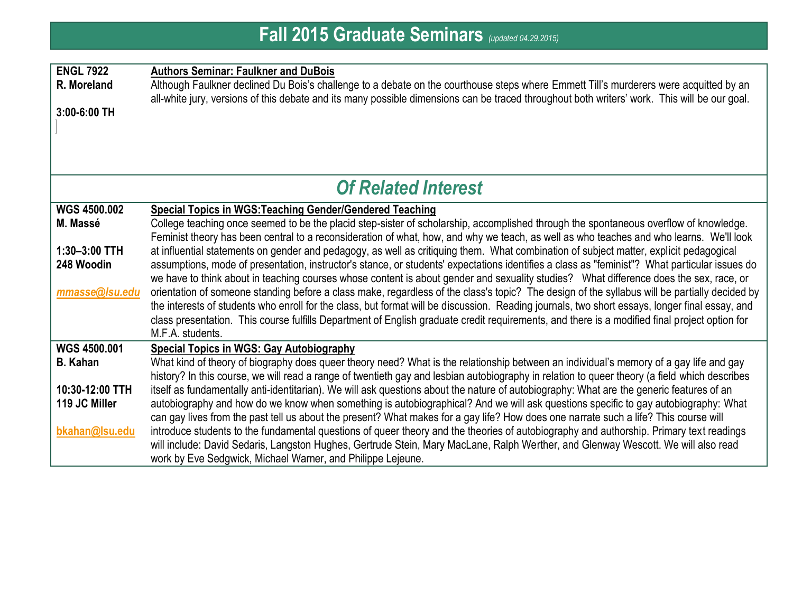| <b>ENGL 7922</b><br>R. Moreland<br>3:00-6:00 TH | <b>Authors Seminar: Faulkner and DuBois</b><br>Although Faulkner declined Du Bois's challenge to a debate on the courthouse steps where Emmett Till's murderers were acquitted by an<br>all-white jury, versions of this debate and its many possible dimensions can be traced throughout both writers' work. This will be our goal. |  |
|-------------------------------------------------|--------------------------------------------------------------------------------------------------------------------------------------------------------------------------------------------------------------------------------------------------------------------------------------------------------------------------------------|--|
| <b>Of Related Interest</b>                      |                                                                                                                                                                                                                                                                                                                                      |  |
| <b>WGS 4500.002</b>                             | <b>Special Topics in WGS: Teaching Gender/Gendered Teaching</b>                                                                                                                                                                                                                                                                      |  |
| M. Massé                                        | College teaching once seemed to be the placid step-sister of scholarship, accomplished through the spontaneous overflow of knowledge.                                                                                                                                                                                                |  |
|                                                 | Feminist theory has been central to a reconsideration of what, how, and why we teach, as well as who teaches and who learns. We'll look                                                                                                                                                                                              |  |
| $1:30-3:00$ TTH                                 | at influential statements on gender and pedagogy, as well as critiquing them. What combination of subject matter, explicit pedagogical                                                                                                                                                                                               |  |
| 248 Woodin                                      | assumptions, mode of presentation, instructor's stance, or students' expectations identifies a class as "feminist"? What particular issues do<br>we have to think about in teaching courses whose content is about gender and sexuality studies? What difference does the sex, race, or                                              |  |
| mmasse@Isu.edu                                  | orientation of someone standing before a class make, regardless of the class's topic? The design of the syllabus will be partially decided by                                                                                                                                                                                        |  |
|                                                 | the interests of students who enroll for the class, but format will be discussion. Reading journals, two short essays, longer final essay, and                                                                                                                                                                                       |  |
|                                                 | class presentation. This course fulfills Department of English graduate credit requirements, and there is a modified final project option for                                                                                                                                                                                        |  |
|                                                 | M.F.A. students.                                                                                                                                                                                                                                                                                                                     |  |
| <b>WGS 4500.001</b>                             | <b>Special Topics in WGS: Gay Autobiography</b>                                                                                                                                                                                                                                                                                      |  |
| <b>B.</b> Kahan                                 | What kind of theory of biography does queer theory need? What is the relationship between an individual's memory of a gay life and gay                                                                                                                                                                                               |  |
|                                                 | history? In this course, we will read a range of twentieth gay and lesbian autobiography in relation to queer theory (a field which describes                                                                                                                                                                                        |  |
| 10:30-12:00 TTH                                 | itself as fundamentally anti-identitarian). We will ask questions about the nature of autobiography: What are the generic features of an                                                                                                                                                                                             |  |
| 119 JC Miller                                   | autobiography and how do we know when something is autobiographical? And we will ask questions specific to gay autobiography: What<br>can gay lives from the past tell us about the present? What makes for a gay life? How does one narrate such a life? This course will                                                           |  |
| bkahan@Isu.edu                                  | introduce students to the fundamental questions of queer theory and the theories of autobiography and authorship. Primary text readings                                                                                                                                                                                              |  |
|                                                 | will include: David Sedaris, Langston Hughes, Gertrude Stein, Mary MacLane, Ralph Werther, and Glenway Wescott. We will also read                                                                                                                                                                                                    |  |
|                                                 | work by Eve Sedgwick, Michael Warner, and Philippe Lejeune.                                                                                                                                                                                                                                                                          |  |